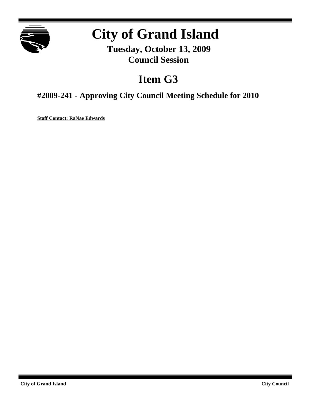

# **City of Grand Island**

**Tuesday, October 13, 2009 Council Session**

## **Item G3**

**#2009-241 - Approving City Council Meeting Schedule for 2010**

**Staff Contact: RaNae Edwards**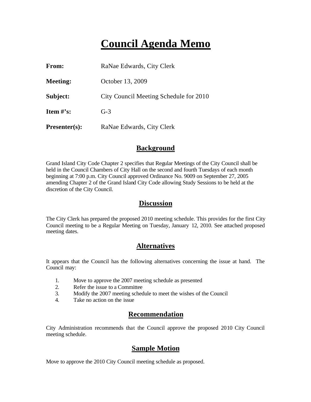## **Council Agenda Memo**

| From:           | RaNae Edwards, City Clerk              |
|-----------------|----------------------------------------|
| <b>Meeting:</b> | October 13, 2009                       |
| Subject:        | City Council Meeting Schedule for 2010 |
| Item $\#$ 's:   | $G-3$                                  |
| $Presenter(s):$ | RaNae Edwards, City Clerk              |

#### **Background**

Grand Island City Code Chapter 2 specifies that Regular Meetings of the City Council shall be held in the Council Chambers of City Hall on the second and fourth Tuesdays of each month beginning at 7:00 p.m. City Council approved Ordinance No. 9009 on September 27, 2005 amending Chapter 2 of the Grand Island City Code allowing Study Sessions to be held at the discretion of the City Council.

#### **Discussion**

The City Clerk has prepared the proposed 2010 meeting schedule. This provides for the first City Council meeting to be a Regular Meeting on Tuesday, January 12, 2010. See attached proposed meeting dates.

#### **Alternatives**

It appears that the Council has the following alternatives concerning the issue at hand. The Council may:

- 1. Move to approve the 2007 meeting schedule as presented
- 2. Refer the issue to a Committee
- 3. Modify the 2007 meeting schedule to meet the wishes of the Council
- 4. Take no action on the issue

#### **Recommendation**

City Administration recommends that the Council approve the proposed 2010 City Council meeting schedule.

#### **Sample Motion**

Move to approve the 2010 City Council meeting schedule as proposed.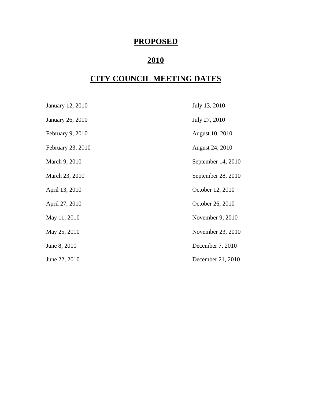### **PROPOSED**

## **2010**

### **CITY COUNCIL MEETING DATES**

| January 12, 2010  | July 13, 2010          |
|-------------------|------------------------|
| January 26, 2010  | July 27, 2010          |
| February 9, 2010  | <b>August 10, 2010</b> |
| February 23, 2010 | August 24, 2010        |
| March 9, 2010     | September 14, 2010     |
| March 23, 2010    | September 28, 2010     |
| April 13, 2010    | October 12, 2010       |
| April 27, 2010    | October 26, 2010       |
| May 11, 2010      | November 9, 2010       |
| May 25, 2010      | November 23, 2010      |
| June 8, 2010      | December 7, 2010       |
| June 22, 2010     | December 21, 2010      |